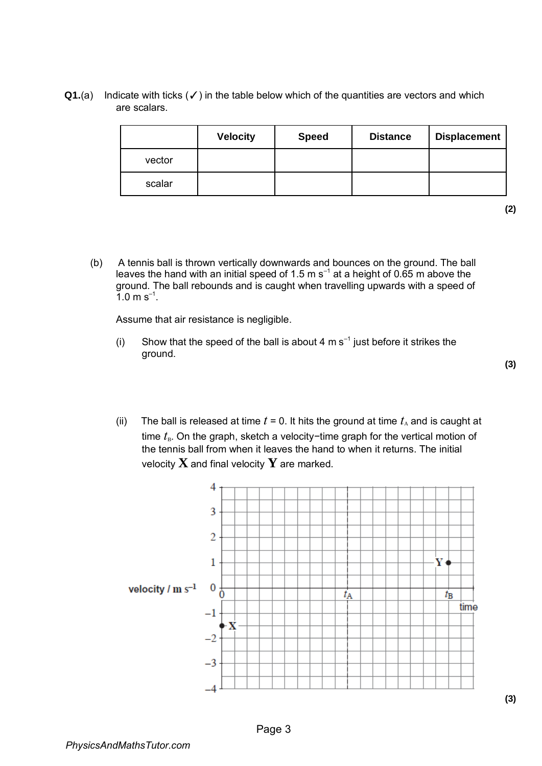Q1.(a) Indicate with ticks (√) in the table below which of the quantities are vectors and which are scalars.

|        | <b>Velocity</b> | <b>Speed</b> | <b>Distance</b> | <b>Displacement</b> |
|--------|-----------------|--------------|-----------------|---------------------|
| vector |                 |              |                 |                     |
| scalar |                 |              |                 |                     |

**(2)** 

(b) A tennis ball is thrown vertically downwards and bounces on the ground. The ball leaves the hand with an initial speed of 1.5 m s<sup>-1</sup> at a height of 0.65 m above the ground. The ball rebounds and is caught when travelling upwards with a speed of  $1.0 \text{ m s}^{-1}$ .

Assume that air resistance is negligible.

(i) Show that the speed of the ball is about 4 m  $s^{-1}$  just before it strikes the ground.

(ii) The ball is released at time  $t = 0$ . It hits the ground at time  $t_A$  and is caught at time *t*<sub>B</sub>. On the graph, sketch a velocity−time graph for the vertical motion of the tennis ball from when it leaves the hand to when it returns. The initial velocity **X** and final velocity **Y** are marked.

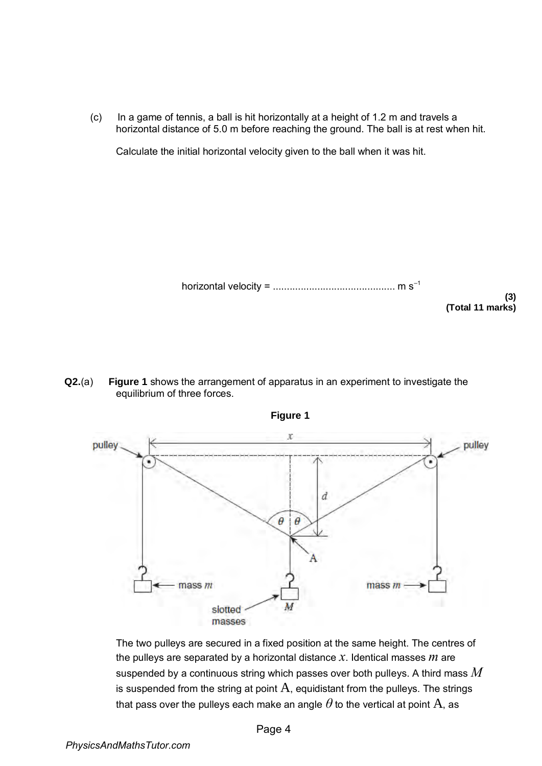(c) In a game of tennis, a ball is hit horizontally at a height of 1.2 m and travels a horizontal distance of 5.0 m before reaching the ground. The ball is at rest when hit.

Calculate the initial horizontal velocity given to the ball when it was hit.

horizontal velocity = 
$$
m s^{-1}
$$
 (3)  
(Total 11 marks)

**(3)** 

**Q2.**(a) **Figure 1** shows the arrangement of apparatus in an experiment to investigate the equilibrium of three forces.





The two pulleys are secured in a fixed position at the same height. The centres of the pulleys are separated by a horizontal distance *x*. Identical masses *m* are suspended by a continuous string which passes over both pulleys. A third mass *M* is suspended from the string at point  $A$ , equidistant from the pulleys. The strings that pass over the pulleys each make an angle  $\theta$  to the vertical at point  $A$ , as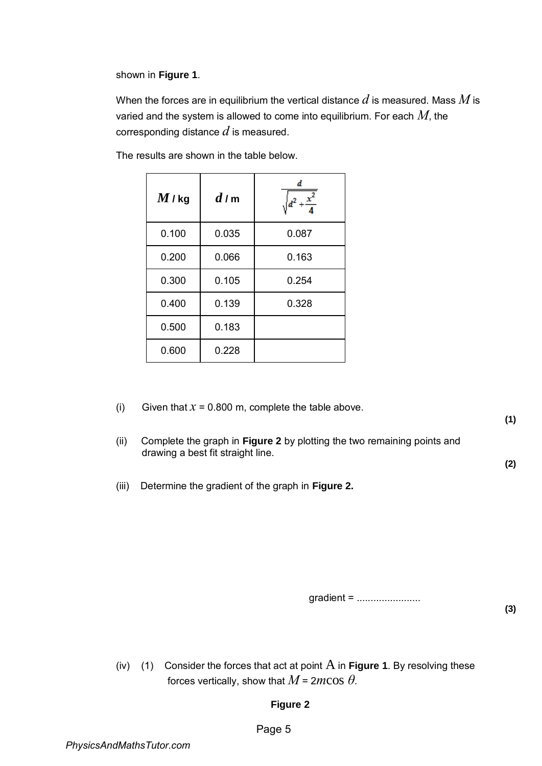shown in **Figure 1**.

When the forces are in equilibrium the vertical distance *d* is measured. Mass *M* is varied and the system is allowed to come into equilibrium. For each *M*, the corresponding distance *d* is measured.

| $M$ / kg | d/m   | d<br><u>x</u> |
|----------|-------|---------------|
| 0.100    | 0.035 | 0.087         |
| 0.200    | 0.066 | 0.163         |
| 0.300    | 0.105 | 0.254         |
| 0.400    | 0.139 | 0.328         |
| 0.500    | 0.183 |               |
| 0.600    | 0.228 |               |

The results are shown in the table below.

- (i) Given that  $x = 0.800$  m, complete the table above.
- (ii) Complete the graph in **Figure 2** by plotting the two remaining points and drawing a best fit straight line.
- (iii) Determine the gradient of the graph in **Figure 2.**

gradient = ........................

(iv) (1) Consider the forces that act at point  $\overline{A}$  in **Figure 1**. By resolving these forces vertically, show that  $M = 2m\cos\theta$ .

## **Figure 2**

**(2)** 

**(3)** 

**(1)**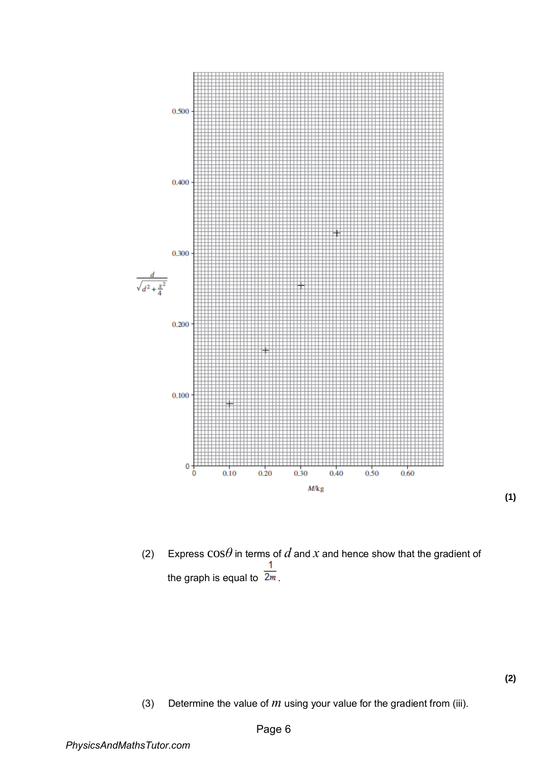

(2) Express  $\cos\theta$  in terms of  $d$  and  $x$  and hence show that the gradient of 1 the graph is equal to  $\frac{1}{2m}$ .

(3) Determine the value of  $m$  using your value for the gradient from (iii).

**(1)**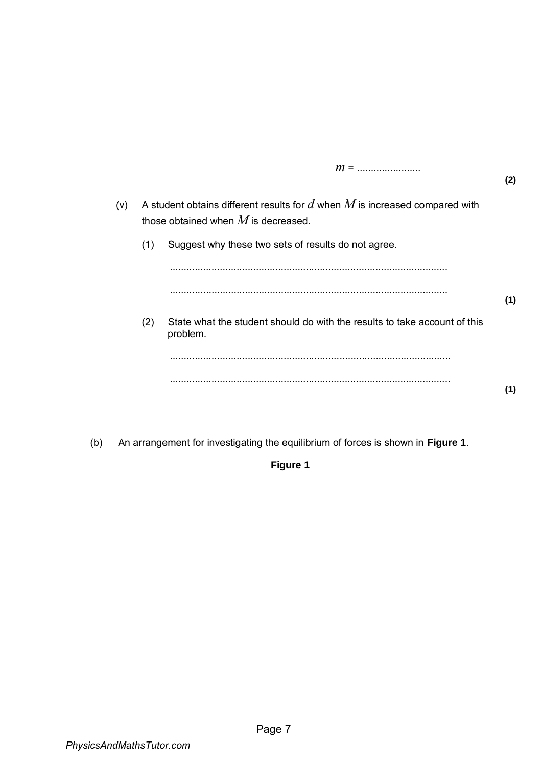|     |     |                                                                                                                          | (2) |
|-----|-----|--------------------------------------------------------------------------------------------------------------------------|-----|
| (v) |     | A student obtains different results for $d$ when $M$ is increased compared with<br>those obtained when $M$ is decreased. |     |
|     | (1) | Suggest why these two sets of results do not agree.                                                                      |     |
|     |     |                                                                                                                          |     |
|     |     |                                                                                                                          | (1) |
|     | (2) | State what the student should do with the results to take account of this<br>problem.                                    |     |
|     |     |                                                                                                                          |     |
|     |     |                                                                                                                          | (1) |
|     |     |                                                                                                                          |     |

(b) An arrangement for investigating the equilibrium of forces is shown in **Figure 1**.

## **Figure 1**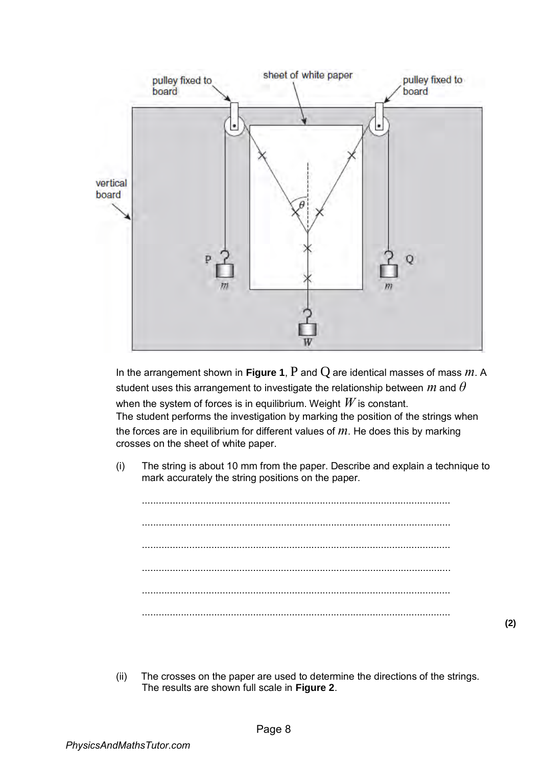

In the arrangement shown in **Figure 1**, P and Q are identical masses of mass *m*. A student uses this arrangement to investigate the relationship between *m* and *θ* when the system of forces is in equilibrium. Weight *W* is constant. The student performs the investigation by marking the position of the strings when the forces are in equilibrium for different values of *m*. He does this by marking crosses on the sheet of white paper.

(i) The string is about 10 mm from the paper. Describe and explain a technique to mark accurately the string positions on the paper.

............................................................................................................... ............................................................................................................... ............................................................................................................... ............................................................................................................... ............................................................................................................... ...............................................................................................................

(ii) The crosses on the paper are used to determine the directions of the strings. The results are shown full scale in **Figure 2**.

**(2)**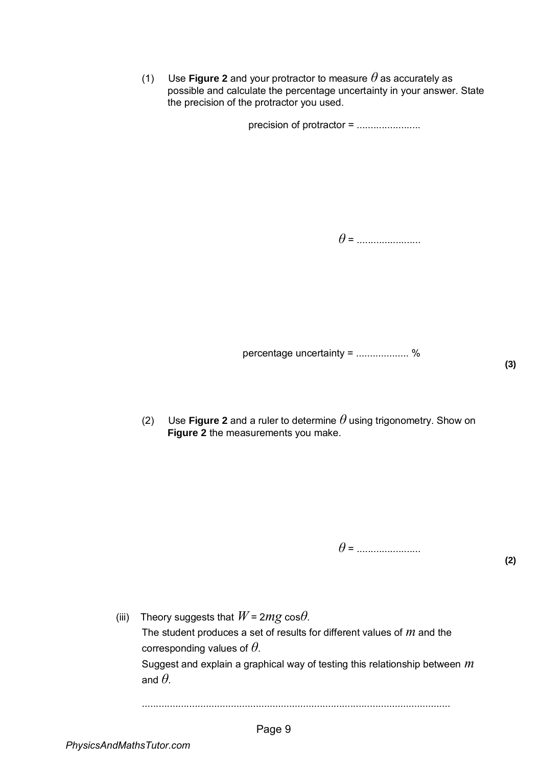(1) Use **Figure 2** and your protractor to measure  $\theta$  as accurately as possible and calculate the percentage uncertainty in your answer. State the precision of the protractor you used.

precision of protractor = .......................

*θ* = .......................

percentage uncertainty = ................... %

(2) Use **Figure 2** and a ruler to determine  $\theta$  using trigonometry. Show on **Figure 2** the measurements you make.

*θ* = .......................

**(2)** 

(iii) Theory suggests that  $W = 2mg \cos\theta$ . The student produces a set of results for different values of *m* and the corresponding values of *θ*. Suggest and explain a graphical way of testing this relationship between *m* and  $\theta$ .

...............................................................................................................

**(3)**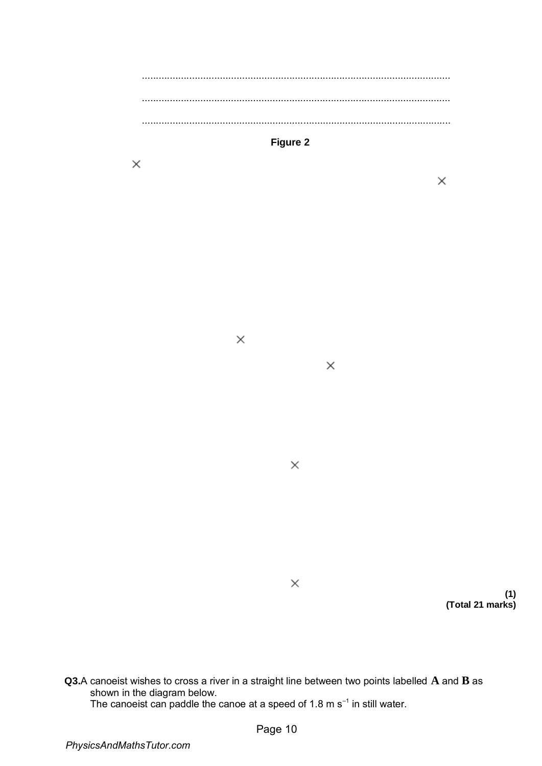............................................................................................................... ............................................................................................................... ...............................................................................................................



 $\times$ 

 $\times$ 

 $\times$ 

 $\times$ 

 $\times$ 

**(1) (Total 21 marks)** 

 $\times$ 

**Q3.**A canoeist wishes to cross a river in a straight line between two points labelled **A** and **B** as shown in the diagram below. The canoeist can paddle the canoe at a speed of 1.8 m s<sup>-1</sup> in still water.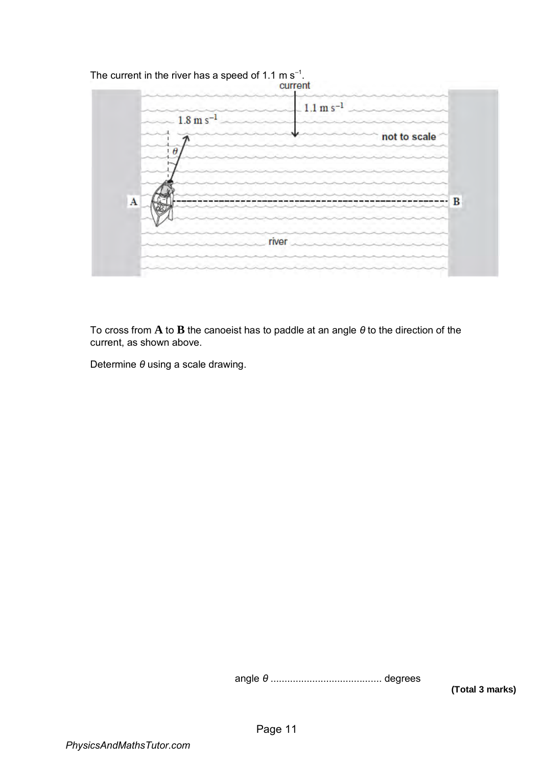

To cross from **A** to **B** the canoeist has to paddle at an angle *θ* to the direction of the current, as shown above.

Determine *θ* using a scale drawing.

angle *θ* ........................................ degrees

**(Total 3 marks)**